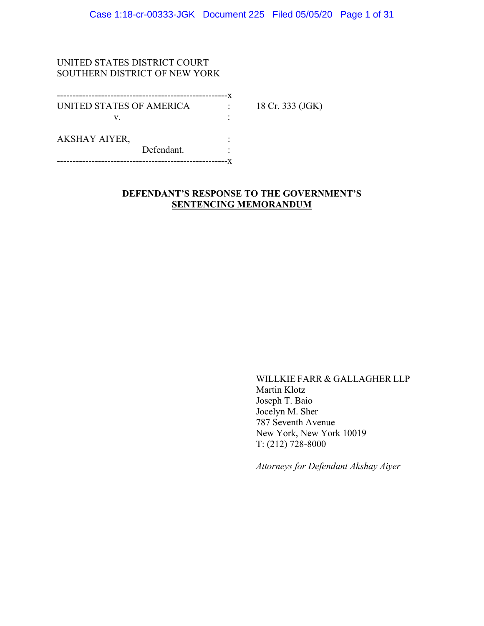### UNITED STATES DISTRICT COURT SOUTHERN DISTRICT OF NEW YORK

| UNITED STATES OF AMERICA |            | 18 Cr. 333 (JGK) |
|--------------------------|------------|------------------|
| V                        |            |                  |
| <b>AKSHAY AIYER,</b>     |            |                  |
|                          | Defendant. |                  |
|                          |            |                  |

### **DEFENDANT'S RESPONSE TO THE GOVERNMENT'S SENTENCING MEMORANDUM**

WILLKIE FARR & GALLAGHER LLP Martin Klotz Joseph T. Baio Jocelyn M. Sher 787 Seventh Avenue New York, New York 10019 T: (212) 728-8000

*Attorneys for Defendant Akshay Aiyer*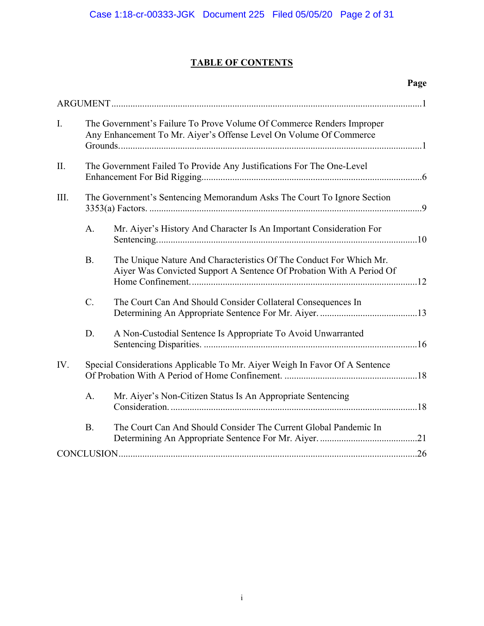# **TABLE OF CONTENTS**

| $\mathbf{I}$ . | The Government's Failure To Prove Volume Of Commerce Renders Improper<br>Any Enhancement To Mr. Aiyer's Offense Level On Volume Of Commerce |                                                                                                                                            |  |
|----------------|---------------------------------------------------------------------------------------------------------------------------------------------|--------------------------------------------------------------------------------------------------------------------------------------------|--|
| II.            |                                                                                                                                             | The Government Failed To Provide Any Justifications For The One-Level                                                                      |  |
| III.           | The Government's Sentencing Memorandum Asks The Court To Ignore Section                                                                     |                                                                                                                                            |  |
|                | A.                                                                                                                                          | Mr. Aiyer's History And Character Is An Important Consideration For                                                                        |  |
|                | <b>B.</b>                                                                                                                                   | The Unique Nature And Characteristics Of The Conduct For Which Mr.<br>Aiyer Was Convicted Support A Sentence Of Probation With A Period Of |  |
|                | $\mathcal{C}$ .                                                                                                                             | The Court Can And Should Consider Collateral Consequences In                                                                               |  |
|                | D.                                                                                                                                          | A Non-Custodial Sentence Is Appropriate To Avoid Unwarranted                                                                               |  |
| IV.            |                                                                                                                                             | Special Considerations Applicable To Mr. Aiyer Weigh In Favor Of A Sentence                                                                |  |
|                | A.                                                                                                                                          | Mr. Aiyer's Non-Citizen Status Is An Appropriate Sentencing                                                                                |  |
|                | B.                                                                                                                                          | The Court Can And Should Consider The Current Global Pandemic In                                                                           |  |
|                |                                                                                                                                             |                                                                                                                                            |  |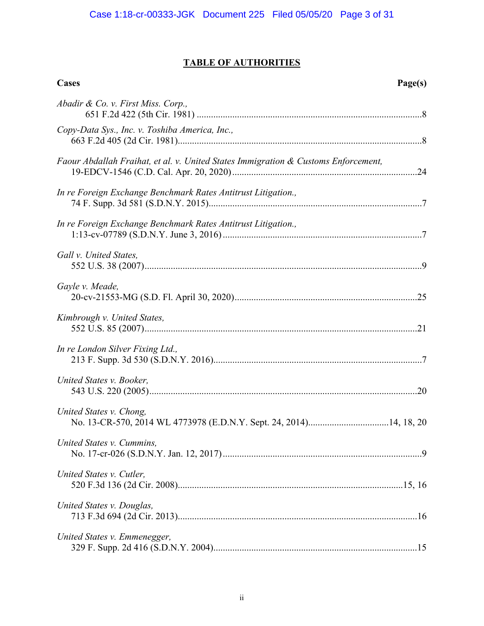# **TABLE OF AUTHORITIES**

| Cases                                                                              | Page(s) |
|------------------------------------------------------------------------------------|---------|
| Abadir & Co. v. First Miss. Corp.,                                                 |         |
| Copy-Data Sys., Inc. v. Toshiba America, Inc.,                                     |         |
| Faour Abdallah Fraihat, et al. v. United States Immigration & Customs Enforcement, |         |
| In re Foreign Exchange Benchmark Rates Antitrust Litigation.,                      |         |
| In re Foreign Exchange Benchmark Rates Antitrust Litigation.,                      |         |
| Gall v. United States,                                                             |         |
| Gayle v. Meade,                                                                    |         |
| Kimbrough v. United States,                                                        |         |
| In re London Silver Fixing Ltd.,                                                   |         |
| United States v. Booker,                                                           |         |
| United States v. Chong,                                                            |         |
| United States v. Cummins,                                                          |         |
| United States v. Cutler,                                                           |         |
| United States v. Douglas,                                                          |         |
| United States v. Emmenegger,                                                       |         |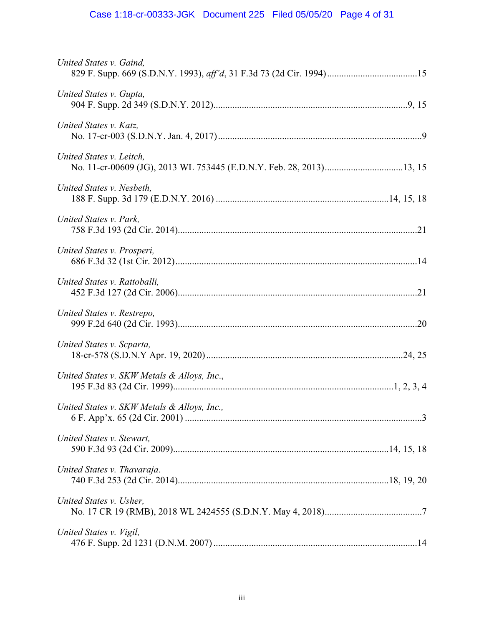# Case 1:18-cr-00333-JGK Document 225 Filed 05/05/20 Page 4 of 31

| United States v. Gaind,                     |  |
|---------------------------------------------|--|
| United States v. Gupta,                     |  |
| United States v. Katz,                      |  |
| United States v. Leitch.                    |  |
| United States v. Nesbeth,                   |  |
| United States v. Park,                      |  |
| United States v. Prosperi,                  |  |
| United States v. Rattoballi.                |  |
| United States v. Restrepo,                  |  |
| United States v. Scparta,                   |  |
| United States v. SKW Metals & Alloys, Inc., |  |
| United States v. SKW Metals & Alloys, Inc., |  |
| United States v. Stewart,                   |  |
| United States v. Thavaraja.                 |  |
| United States v. Usher,                     |  |
| United States v. Vigil,                     |  |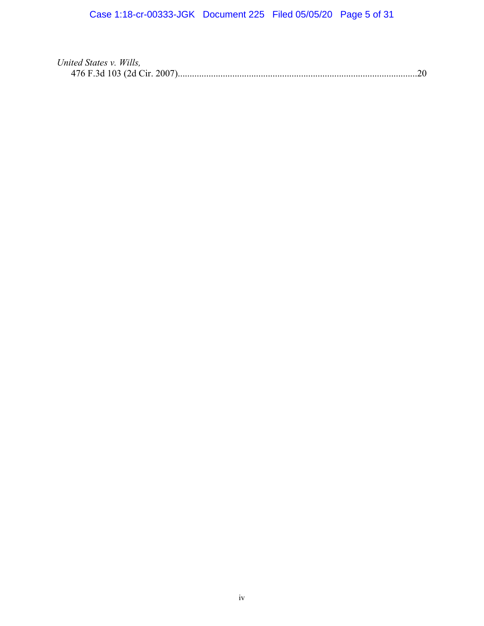| United States v. Wills, |  |
|-------------------------|--|
|                         |  |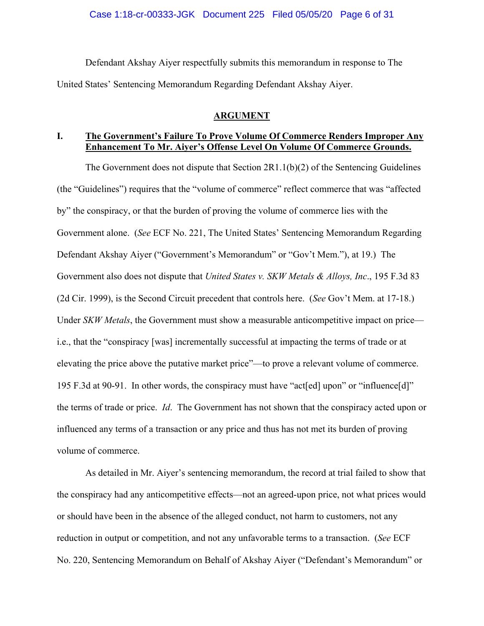Defendant Akshay Aiyer respectfully submits this memorandum in response to The United States' Sentencing Memorandum Regarding Defendant Akshay Aiyer.

### **ARGUMENT**

### **I. The Government's Failure To Prove Volume Of Commerce Renders Improper Any Enhancement To Mr. Aiyer's Offense Level On Volume Of Commerce Grounds.**

The Government does not dispute that Section 2R1.1(b)(2) of the Sentencing Guidelines (the "Guidelines") requires that the "volume of commerce" reflect commerce that was "affected by" the conspiracy, or that the burden of proving the volume of commerce lies with the Government alone. (*See* ECF No. 221, The United States' Sentencing Memorandum Regarding Defendant Akshay Aiyer ("Government's Memorandum" or "Gov't Mem."), at 19.) The Government also does not dispute that *United States v. SKW Metals & Alloys, Inc*., 195 F.3d 83 (2d Cir. 1999), is the Second Circuit precedent that controls here. (*See* Gov't Mem. at 17-18.) Under *SKW Metals*, the Government must show a measurable anticompetitive impact on price i.e., that the "conspiracy [was] incrementally successful at impacting the terms of trade or at elevating the price above the putative market price"—to prove a relevant volume of commerce. 195 F.3d at 90-91. In other words, the conspiracy must have "act[ed] upon" or "influence[d]" the terms of trade or price. *Id*. The Government has not shown that the conspiracy acted upon or influenced any terms of a transaction or any price and thus has not met its burden of proving volume of commerce.

As detailed in Mr. Aiyer's sentencing memorandum, the record at trial failed to show that the conspiracy had any anticompetitive effects—not an agreed-upon price, not what prices would or should have been in the absence of the alleged conduct, not harm to customers, not any reduction in output or competition, and not any unfavorable terms to a transaction. (*See* ECF No. 220, Sentencing Memorandum on Behalf of Akshay Aiyer ("Defendant's Memorandum" or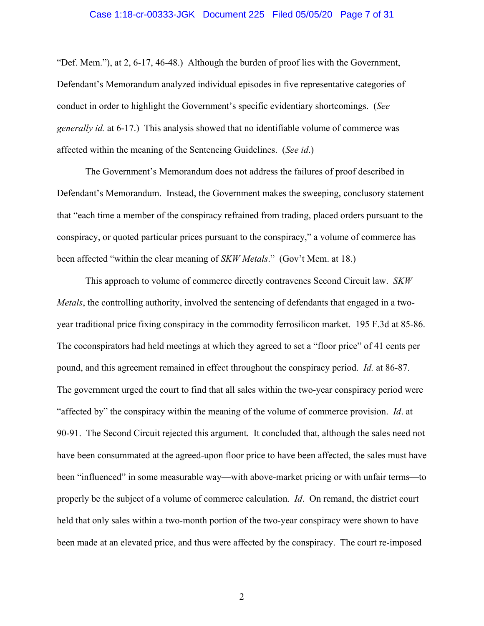### Case 1:18-cr-00333-JGK Document 225 Filed 05/05/20 Page 7 of 31

"Def. Mem."), at 2, 6-17, 46-48.) Although the burden of proof lies with the Government, Defendant's Memorandum analyzed individual episodes in five representative categories of conduct in order to highlight the Government's specific evidentiary shortcomings. (*See generally id.* at 6-17.) This analysis showed that no identifiable volume of commerce was affected within the meaning of the Sentencing Guidelines. (*See id*.)

The Government's Memorandum does not address the failures of proof described in Defendant's Memorandum. Instead, the Government makes the sweeping, conclusory statement that "each time a member of the conspiracy refrained from trading, placed orders pursuant to the conspiracy, or quoted particular prices pursuant to the conspiracy," a volume of commerce has been affected "within the clear meaning of *SKW Metals*." (Gov't Mem. at 18.)

This approach to volume of commerce directly contravenes Second Circuit law. *SKW Metals*, the controlling authority, involved the sentencing of defendants that engaged in a twoyear traditional price fixing conspiracy in the commodity ferrosilicon market. 195 F.3d at 85-86. The coconspirators had held meetings at which they agreed to set a "floor price" of 41 cents per pound, and this agreement remained in effect throughout the conspiracy period. *Id.* at 86-87. The government urged the court to find that all sales within the two-year conspiracy period were "affected by" the conspiracy within the meaning of the volume of commerce provision. *Id*. at 90-91. The Second Circuit rejected this argument. It concluded that, although the sales need not have been consummated at the agreed-upon floor price to have been affected, the sales must have been "influenced" in some measurable way—with above-market pricing or with unfair terms—to properly be the subject of a volume of commerce calculation. *Id*. On remand, the district court held that only sales within a two-month portion of the two-year conspiracy were shown to have been made at an elevated price, and thus were affected by the conspiracy. The court re-imposed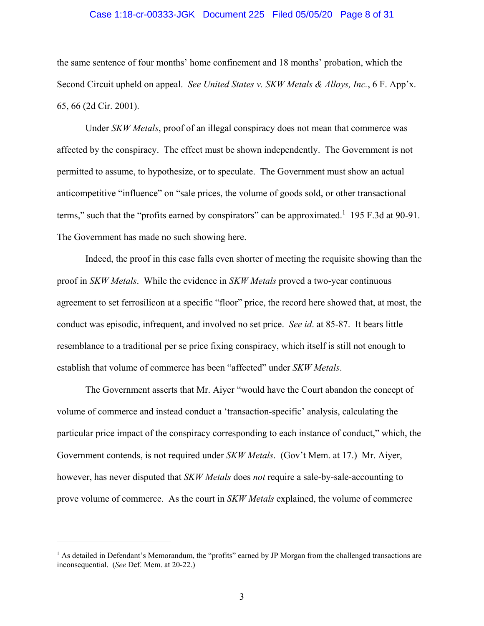### Case 1:18-cr-00333-JGK Document 225 Filed 05/05/20 Page 8 of 31

the same sentence of four months' home confinement and 18 months' probation, which the Second Circuit upheld on appeal. *See United States v. SKW Metals & Alloys, Inc.*, 6 F. App'x. 65, 66 (2d Cir. 2001).

Under *SKW Metals*, proof of an illegal conspiracy does not mean that commerce was affected by the conspiracy. The effect must be shown independently. The Government is not permitted to assume, to hypothesize, or to speculate. The Government must show an actual anticompetitive "influence" on "sale prices, the volume of goods sold, or other transactional terms," such that the "profits earned by conspirators" can be approximated.<sup>1</sup> 195 F.3d at 90-91. The Government has made no such showing here.

Indeed, the proof in this case falls even shorter of meeting the requisite showing than the proof in *SKW Metals*. While the evidence in *SKW Metals* proved a two-year continuous agreement to set ferrosilicon at a specific "floor" price, the record here showed that, at most, the conduct was episodic, infrequent, and involved no set price. *See id*. at 85-87. It bears little resemblance to a traditional per se price fixing conspiracy, which itself is still not enough to establish that volume of commerce has been "affected" under *SKW Metals*.

The Government asserts that Mr. Aiyer "would have the Court abandon the concept of volume of commerce and instead conduct a 'transaction-specific' analysis, calculating the particular price impact of the conspiracy corresponding to each instance of conduct," which, the Government contends, is not required under *SKW Metals*. (Gov't Mem. at 17.) Mr. Aiyer, however, has never disputed that *SKW Metals* does *not* require a sale-by-sale-accounting to prove volume of commerce. As the court in *SKW Metals* explained, the volume of commerce

 $\overline{a}$ 

<sup>&</sup>lt;sup>1</sup> As detailed in Defendant's Memorandum, the "profits" earned by JP Morgan from the challenged transactions are inconsequential. (*See* Def. Mem. at 20-22.)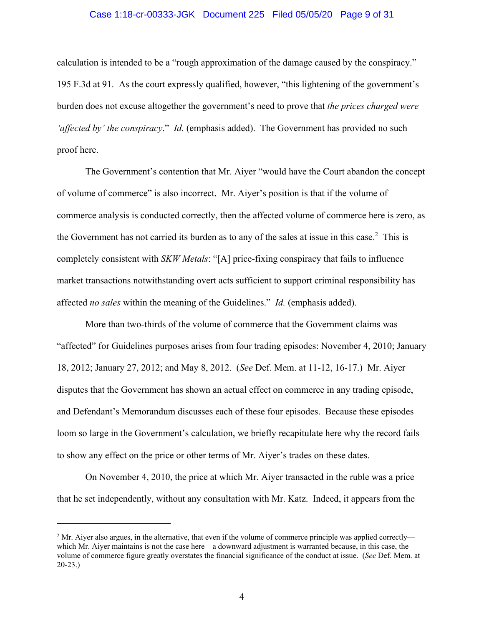### Case 1:18-cr-00333-JGK Document 225 Filed 05/05/20 Page 9 of 31

calculation is intended to be a "rough approximation of the damage caused by the conspiracy." 195 F.3d at 91. As the court expressly qualified, however, "this lightening of the government's burden does not excuse altogether the government's need to prove that *the prices charged were 'affected by' the conspiracy*." *Id.* (emphasis added). The Government has provided no such proof here.

The Government's contention that Mr. Aiyer "would have the Court abandon the concept of volume of commerce" is also incorrect. Mr. Aiyer's position is that if the volume of commerce analysis is conducted correctly, then the affected volume of commerce here is zero, as the Government has not carried its burden as to any of the sales at issue in this case.<sup>2</sup> This is completely consistent with *SKW Metals*: "[A] price-fixing conspiracy that fails to influence market transactions notwithstanding overt acts sufficient to support criminal responsibility has affected *no sales* within the meaning of the Guidelines." *Id.* (emphasis added).

More than two-thirds of the volume of commerce that the Government claims was "affected" for Guidelines purposes arises from four trading episodes: November 4, 2010; January 18, 2012; January 27, 2012; and May 8, 2012. (*See* Def. Mem. at 11-12, 16-17.) Mr. Aiyer disputes that the Government has shown an actual effect on commerce in any trading episode, and Defendant's Memorandum discusses each of these four episodes. Because these episodes loom so large in the Government's calculation, we briefly recapitulate here why the record fails to show any effect on the price or other terms of Mr. Aiyer's trades on these dates.

On November 4, 2010, the price at which Mr. Aiyer transacted in the ruble was a price that he set independently, without any consultation with Mr. Katz. Indeed, it appears from the

 $\overline{a}$ 

<sup>&</sup>lt;sup>2</sup> Mr. Aiyer also argues, in the alternative, that even if the volume of commerce principle was applied correctly which Mr. Aiyer maintains is not the case here—a downward adjustment is warranted because, in this case, the volume of commerce figure greatly overstates the financial significance of the conduct at issue. (*See* Def. Mem. at 20-23.)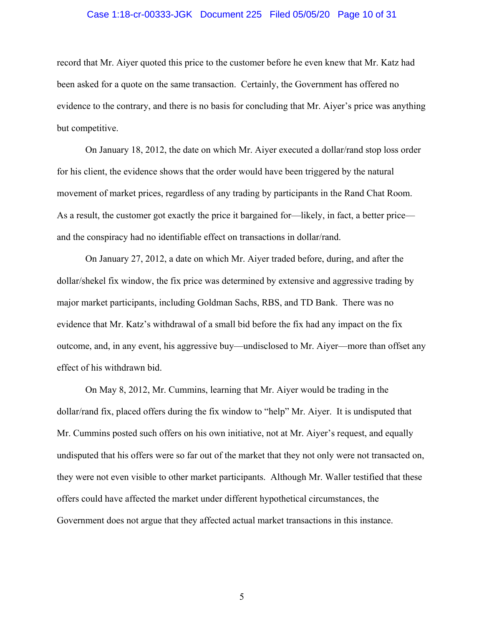### Case 1:18-cr-00333-JGK Document 225 Filed 05/05/20 Page 10 of 31

record that Mr. Aiyer quoted this price to the customer before he even knew that Mr. Katz had been asked for a quote on the same transaction. Certainly, the Government has offered no evidence to the contrary, and there is no basis for concluding that Mr. Aiyer's price was anything but competitive.

On January 18, 2012, the date on which Mr. Aiyer executed a dollar/rand stop loss order for his client, the evidence shows that the order would have been triggered by the natural movement of market prices, regardless of any trading by participants in the Rand Chat Room. As a result, the customer got exactly the price it bargained for—likely, in fact, a better price and the conspiracy had no identifiable effect on transactions in dollar/rand.

On January 27, 2012, a date on which Mr. Aiyer traded before, during, and after the dollar/shekel fix window, the fix price was determined by extensive and aggressive trading by major market participants, including Goldman Sachs, RBS, and TD Bank. There was no evidence that Mr. Katz's withdrawal of a small bid before the fix had any impact on the fix outcome, and, in any event, his aggressive buy—undisclosed to Mr. Aiyer—more than offset any effect of his withdrawn bid.

On May 8, 2012, Mr. Cummins, learning that Mr. Aiyer would be trading in the dollar/rand fix, placed offers during the fix window to "help" Mr. Aiyer. It is undisputed that Mr. Cummins posted such offers on his own initiative, not at Mr. Aiyer's request, and equally undisputed that his offers were so far out of the market that they not only were not transacted on, they were not even visible to other market participants. Although Mr. Waller testified that these offers could have affected the market under different hypothetical circumstances, the Government does not argue that they affected actual market transactions in this instance.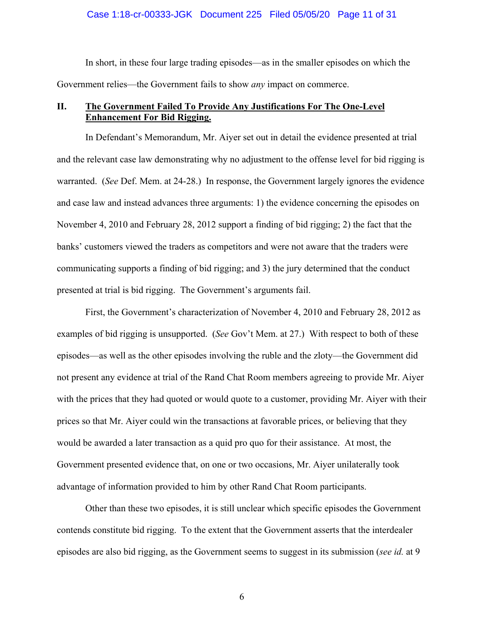### Case 1:18-cr-00333-JGK Document 225 Filed 05/05/20 Page 11 of 31

In short, in these four large trading episodes—as in the smaller episodes on which the Government relies—the Government fails to show *any* impact on commerce.

### **II. The Government Failed To Provide Any Justifications For The One-Level Enhancement For Bid Rigging.**

In Defendant's Memorandum, Mr. Aiyer set out in detail the evidence presented at trial and the relevant case law demonstrating why no adjustment to the offense level for bid rigging is warranted. (*See* Def. Mem. at 24-28.) In response, the Government largely ignores the evidence and case law and instead advances three arguments: 1) the evidence concerning the episodes on November 4, 2010 and February 28, 2012 support a finding of bid rigging; 2) the fact that the banks' customers viewed the traders as competitors and were not aware that the traders were communicating supports a finding of bid rigging; and 3) the jury determined that the conduct presented at trial is bid rigging. The Government's arguments fail.

First, the Government's characterization of November 4, 2010 and February 28, 2012 as examples of bid rigging is unsupported. (*See* Gov't Mem. at 27.) With respect to both of these episodes—as well as the other episodes involving the ruble and the zloty—the Government did not present any evidence at trial of the Rand Chat Room members agreeing to provide Mr. Aiyer with the prices that they had quoted or would quote to a customer, providing Mr. Aiyer with their prices so that Mr. Aiyer could win the transactions at favorable prices, or believing that they would be awarded a later transaction as a quid pro quo for their assistance. At most, the Government presented evidence that, on one or two occasions, Mr. Aiyer unilaterally took advantage of information provided to him by other Rand Chat Room participants.

Other than these two episodes, it is still unclear which specific episodes the Government contends constitute bid rigging. To the extent that the Government asserts that the interdealer episodes are also bid rigging, as the Government seems to suggest in its submission (*see id.* at 9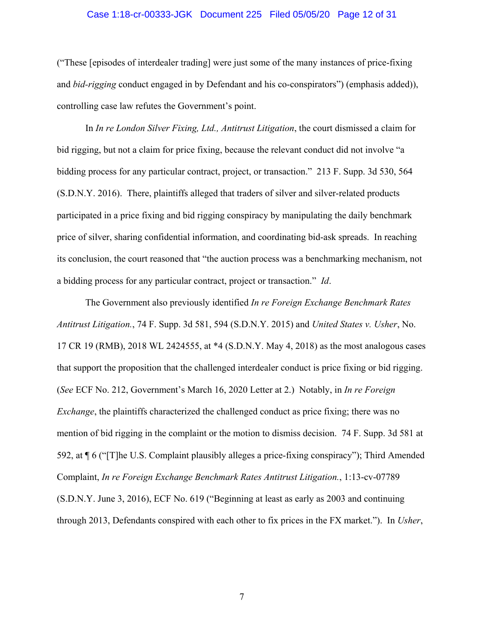### Case 1:18-cr-00333-JGK Document 225 Filed 05/05/20 Page 12 of 31

("These [episodes of interdealer trading] were just some of the many instances of price-fixing and *bid-rigging* conduct engaged in by Defendant and his co-conspirators") (emphasis added)), controlling case law refutes the Government's point.

In *In re London Silver Fixing, Ltd., Antitrust Litigation*, the court dismissed a claim for bid rigging, but not a claim for price fixing, because the relevant conduct did not involve "a bidding process for any particular contract, project, or transaction." 213 F. Supp. 3d 530, 564 (S.D.N.Y. 2016). There, plaintiffs alleged that traders of silver and silver-related products participated in a price fixing and bid rigging conspiracy by manipulating the daily benchmark price of silver, sharing confidential information, and coordinating bid-ask spreads. In reaching its conclusion, the court reasoned that "the auction process was a benchmarking mechanism, not a bidding process for any particular contract, project or transaction." *Id*.

The Government also previously identified *In re Foreign Exchange Benchmark Rates Antitrust Litigation.*, 74 F. Supp. 3d 581, 594 (S.D.N.Y. 2015) and *United States v. Usher*, No. 17 CR 19 (RMB), 2018 WL 2424555, at \*4 (S.D.N.Y. May 4, 2018) as the most analogous cases that support the proposition that the challenged interdealer conduct is price fixing or bid rigging. (*See* ECF No. 212, Government's March 16, 2020 Letter at 2.) Notably, in *In re Foreign Exchange*, the plaintiffs characterized the challenged conduct as price fixing; there was no mention of bid rigging in the complaint or the motion to dismiss decision. 74 F. Supp. 3d 581 at 592, at ¶ 6 ("[T]he U.S. Complaint plausibly alleges a price-fixing conspiracy"); Third Amended Complaint, *In re Foreign Exchange Benchmark Rates Antitrust Litigation.*, 1:13-cv-07789 (S.D.N.Y. June 3, 2016), ECF No. 619 ("Beginning at least as early as 2003 and continuing through 2013, Defendants conspired with each other to fix prices in the FX market."). In *Usher*,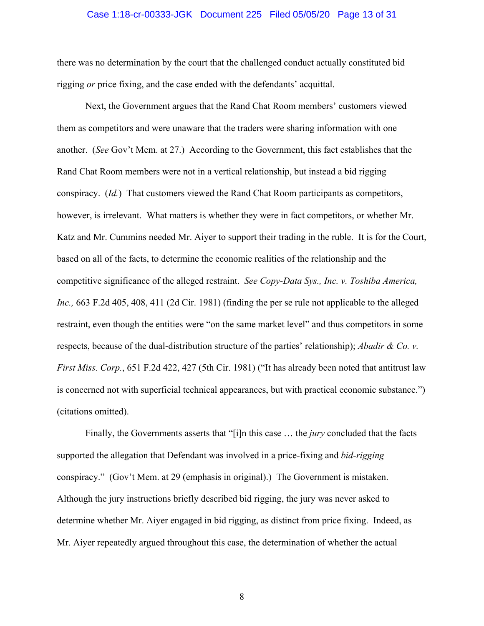### Case 1:18-cr-00333-JGK Document 225 Filed 05/05/20 Page 13 of 31

there was no determination by the court that the challenged conduct actually constituted bid rigging *or* price fixing, and the case ended with the defendants' acquittal.

Next, the Government argues that the Rand Chat Room members' customers viewed them as competitors and were unaware that the traders were sharing information with one another. (*See* Gov't Mem. at 27.) According to the Government, this fact establishes that the Rand Chat Room members were not in a vertical relationship, but instead a bid rigging conspiracy. (*Id.*) That customers viewed the Rand Chat Room participants as competitors, however, is irrelevant. What matters is whether they were in fact competitors, or whether Mr. Katz and Mr. Cummins needed Mr. Aiyer to support their trading in the ruble. It is for the Court, based on all of the facts, to determine the economic realities of the relationship and the competitive significance of the alleged restraint. *See Copy-Data Sys., Inc. v. Toshiba America, Inc.,* 663 F.2d 405, 408, 411 (2d Cir. 1981) (finding the per se rule not applicable to the alleged restraint, even though the entities were "on the same market level" and thus competitors in some respects, because of the dual-distribution structure of the parties' relationship); *Abadir & Co. v. First Miss. Corp.*, 651 F.2d 422, 427 (5th Cir. 1981) ("It has already been noted that antitrust law is concerned not with superficial technical appearances, but with practical economic substance.") (citations omitted).

Finally, the Governments asserts that "[i]n this case … the *jury* concluded that the facts supported the allegation that Defendant was involved in a price-fixing and *bid-rigging*  conspiracy." (Gov't Mem. at 29 (emphasis in original).) The Government is mistaken. Although the jury instructions briefly described bid rigging, the jury was never asked to determine whether Mr. Aiyer engaged in bid rigging, as distinct from price fixing. Indeed, as Mr. Aiyer repeatedly argued throughout this case, the determination of whether the actual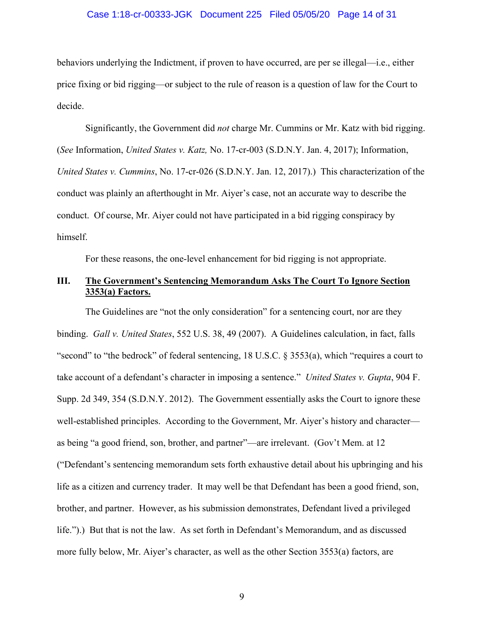### Case 1:18-cr-00333-JGK Document 225 Filed 05/05/20 Page 14 of 31

behaviors underlying the Indictment, if proven to have occurred, are per se illegal—i.e., either price fixing or bid rigging—or subject to the rule of reason is a question of law for the Court to decide.

Significantly, the Government did *not* charge Mr. Cummins or Mr. Katz with bid rigging. (*See* Information, *United States v. Katz,* No. 17-cr-003 (S.D.N.Y. Jan. 4, 2017); Information, *United States v. Cummins*, No. 17-cr-026 (S.D.N.Y. Jan. 12, 2017).) This characterization of the conduct was plainly an afterthought in Mr. Aiyer's case, not an accurate way to describe the conduct. Of course, Mr. Aiyer could not have participated in a bid rigging conspiracy by himself.

For these reasons, the one-level enhancement for bid rigging is not appropriate.

### **III. The Government's Sentencing Memorandum Asks The Court To Ignore Section 3353(a) Factors.**

The Guidelines are "not the only consideration" for a sentencing court, nor are they binding. *Gall v. United States*, 552 U.S. 38, 49 (2007).A Guidelines calculation, in fact, falls "second" to "the bedrock" of federal sentencing, 18 U.S.C. § 3553(a), which "requires a court to take account of a defendant's character in imposing a sentence." *United States v. Gupta*, 904 F. Supp. 2d 349, 354 (S.D.N.Y. 2012). The Government essentially asks the Court to ignore these well-established principles. According to the Government, Mr. Aiyer's history and character as being "a good friend, son, brother, and partner"—are irrelevant. (Gov't Mem. at 12 ("Defendant's sentencing memorandum sets forth exhaustive detail about his upbringing and his life as a citizen and currency trader. It may well be that Defendant has been a good friend, son, brother, and partner. However, as his submission demonstrates, Defendant lived a privileged life.").) But that is not the law. As set forth in Defendant's Memorandum, and as discussed more fully below, Mr. Aiyer's character, as well as the other Section 3553(a) factors, are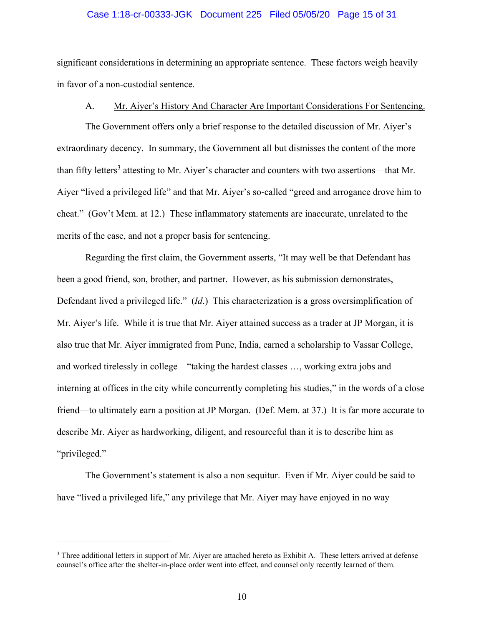### Case 1:18-cr-00333-JGK Document 225 Filed 05/05/20 Page 15 of 31

significant considerations in determining an appropriate sentence. These factors weigh heavily in favor of a non-custodial sentence.

### A. Mr. Aiyer's History And Character Are Important Considerations For Sentencing.

The Government offers only a brief response to the detailed discussion of Mr. Aiyer's extraordinary decency. In summary, the Government all but dismisses the content of the more than fifty letters<sup>3</sup> attesting to Mr. Aiyer's character and counters with two assertions—that Mr. Aiyer "lived a privileged life" and that Mr. Aiyer's so-called "greed and arrogance drove him to cheat." (Gov't Mem. at 12.) These inflammatory statements are inaccurate, unrelated to the merits of the case, and not a proper basis for sentencing.

Regarding the first claim, the Government asserts, "It may well be that Defendant has been a good friend, son, brother, and partner. However, as his submission demonstrates, Defendant lived a privileged life." (*Id*.) This characterization is a gross oversimplification of Mr. Aiyer's life. While it is true that Mr. Aiyer attained success as a trader at JP Morgan, it is also true that Mr. Aiyer immigrated from Pune, India, earned a scholarship to Vassar College, and worked tirelessly in college—"taking the hardest classes …, working extra jobs and interning at offices in the city while concurrently completing his studies," in the words of a close friend—to ultimately earn a position at JP Morgan. (Def. Mem. at 37.) It is far more accurate to describe Mr. Aiyer as hardworking, diligent, and resourceful than it is to describe him as "privileged."

The Government's statement is also a non sequitur. Even if Mr. Aiyer could be said to have "lived a privileged life," any privilege that Mr. Aiyer may have enjoyed in no way

 $\overline{a}$ 

<sup>&</sup>lt;sup>3</sup> Three additional letters in support of Mr. Aiyer are attached hereto as Exhibit A. These letters arrived at defense counsel's office after the shelter-in-place order went into effect, and counsel only recently learned of them.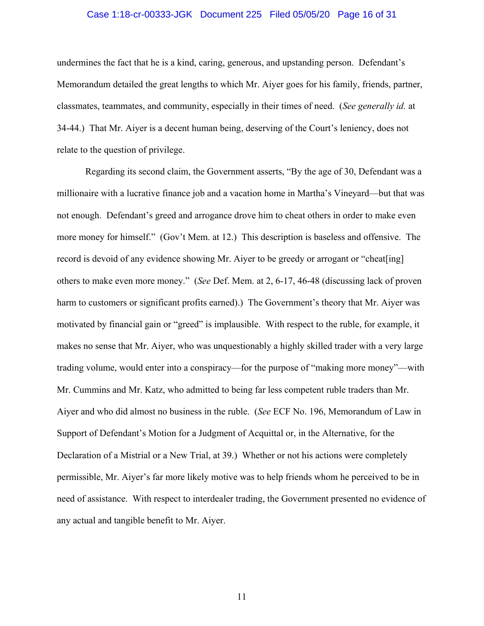### Case 1:18-cr-00333-JGK Document 225 Filed 05/05/20 Page 16 of 31

undermines the fact that he is a kind, caring, generous, and upstanding person. Defendant's Memorandum detailed the great lengths to which Mr. Aiyer goes for his family, friends, partner, classmates, teammates, and community, especially in their times of need. (*See generally id.* at 34-44.) That Mr. Aiyer is a decent human being, deserving of the Court's leniency, does not relate to the question of privilege.

Regarding its second claim, the Government asserts, "By the age of 30, Defendant was a millionaire with a lucrative finance job and a vacation home in Martha's Vineyard—but that was not enough. Defendant's greed and arrogance drove him to cheat others in order to make even more money for himself." (Gov't Mem. at 12.) This description is baseless and offensive. The record is devoid of any evidence showing Mr. Aiyer to be greedy or arrogant or "cheat [ing] others to make even more money." (*See* Def. Mem. at 2, 6-17, 46-48 (discussing lack of proven harm to customers or significant profits earned).) The Government's theory that Mr. Aiyer was motivated by financial gain or "greed" is implausible. With respect to the ruble, for example, it makes no sense that Mr. Aiyer, who was unquestionably a highly skilled trader with a very large trading volume, would enter into a conspiracy—for the purpose of "making more money"—with Mr. Cummins and Mr. Katz, who admitted to being far less competent ruble traders than Mr. Aiyer and who did almost no business in the ruble. (*See* ECF No. 196, Memorandum of Law in Support of Defendant's Motion for a Judgment of Acquittal or, in the Alternative, for the Declaration of a Mistrial or a New Trial, at 39.) Whether or not his actions were completely permissible, Mr. Aiyer's far more likely motive was to help friends whom he perceived to be in need of assistance. With respect to interdealer trading, the Government presented no evidence of any actual and tangible benefit to Mr. Aiyer.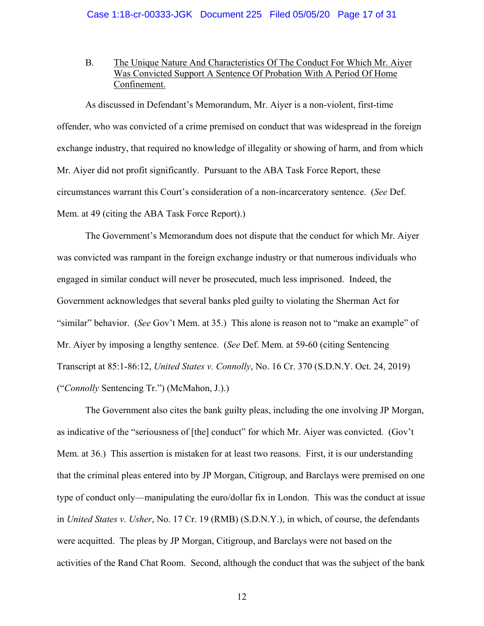### B. The Unique Nature And Characteristics Of The Conduct For Which Mr. Aiyer Was Convicted Support A Sentence Of Probation With A Period Of Home Confinement.

As discussed in Defendant's Memorandum, Mr. Aiyer is a non-violent, first-time offender, who was convicted of a crime premised on conduct that was widespread in the foreign exchange industry, that required no knowledge of illegality or showing of harm, and from which Mr. Aiyer did not profit significantly. Pursuant to the ABA Task Force Report, these circumstances warrant this Court's consideration of a non-incarceratory sentence. (*See* Def. Mem. at 49 (citing the ABA Task Force Report).)

The Government's Memorandum does not dispute that the conduct for which Mr. Aiyer was convicted was rampant in the foreign exchange industry or that numerous individuals who engaged in similar conduct will never be prosecuted, much less imprisoned. Indeed, the Government acknowledges that several banks pled guilty to violating the Sherman Act for "similar" behavior. (*See* Gov't Mem. at 35.) This alone is reason not to "make an example" of Mr. Aiyer by imposing a lengthy sentence. (*See* Def. Mem. at 59-60 (citing Sentencing Transcript at 85:1-86:12, *United States v. Connolly*, No. 16 Cr. 370 (S.D.N.Y. Oct. 24, 2019) ("*Connolly* Sentencing Tr.") (McMahon, J.).)

The Government also cites the bank guilty pleas, including the one involving JP Morgan, as indicative of the "seriousness of [the] conduct" for which Mr. Aiyer was convicted. (Gov't Mem. at 36.) This assertion is mistaken for at least two reasons. First, it is our understanding that the criminal pleas entered into by JP Morgan, Citigroup, and Barclays were premised on one type of conduct only—manipulating the euro/dollar fix in London. This was the conduct at issue in *United States v. Usher*, No. 17 Cr. 19 (RMB) (S.D.N.Y.), in which, of course, the defendants were acquitted. The pleas by JP Morgan, Citigroup, and Barclays were not based on the activities of the Rand Chat Room. Second, although the conduct that was the subject of the bank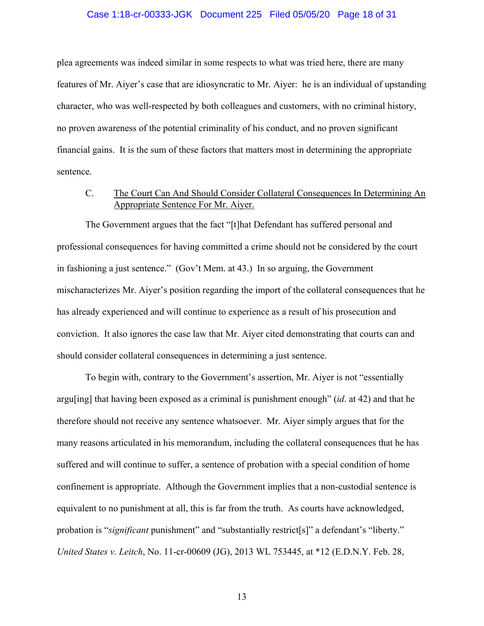### Case 1:18-cr-00333-JGK Document 225 Filed 05/05/20 Page 18 of 31

plea agreements was indeed similar in some respects to what was tried here, there are many features of Mr. Aiyer's case that are idiosyncratic to Mr. Aiyer: he is an individual of upstanding character, who was well-respected by both colleagues and customers, with no criminal history, no proven awareness of the potential criminality of his conduct, and no proven significant financial gains. It is the sum of these factors that matters most in determining the appropriate sentence.

### C. The Court Can And Should Consider Collateral Consequences In Determining An Appropriate Sentence For Mr. Aiyer.

The Government argues that the fact "[t]hat Defendant has suffered personal and professional consequences for having committed a crime should not be considered by the court in fashioning a just sentence." (Gov't Mem. at 43.) In so arguing, the Government mischaracterizes Mr. Aiyer's position regarding the import of the collateral consequences that he has already experienced and will continue to experience as a result of his prosecution and conviction. It also ignores the case law that Mr. Aiyer cited demonstrating that courts can and should consider collateral consequences in determining a just sentence.

To begin with, contrary to the Government's assertion, Mr. Aiyer is not "essentially argu[ing] that having been exposed as a criminal is punishment enough" (*id*. at 42) and that he therefore should not receive any sentence whatsoever. Mr. Aiyer simply argues that for the many reasons articulated in his memorandum, including the collateral consequences that he has suffered and will continue to suffer, a sentence of probation with a special condition of home confinement is appropriate. Although the Government implies that a non-custodial sentence is equivalent to no punishment at all, this is far from the truth. As courts have acknowledged, probation is "*significant* punishment" and "substantially restrict[s]" a defendant's "liberty." *United States v. Leitch*, No. 11-cr-00609 (JG), 2013 WL 753445, at \*12 (E.D.N.Y. Feb. 28,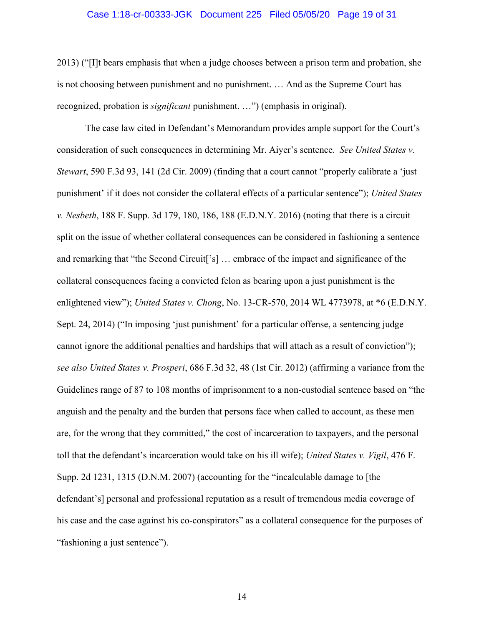### Case 1:18-cr-00333-JGK Document 225 Filed 05/05/20 Page 19 of 31

2013) ("[I]t bears emphasis that when a judge chooses between a prison term and probation, she is not choosing between punishment and no punishment. … And as the Supreme Court has recognized, probation is *significant* punishment. …") (emphasis in original).

The case law cited in Defendant's Memorandum provides ample support for the Court's consideration of such consequences in determining Mr. Aiyer's sentence. *See United States v. Stewart*, 590 F.3d 93, 141 (2d Cir. 2009) (finding that a court cannot "properly calibrate a 'just punishment' if it does not consider the collateral effects of a particular sentence"); *United States v. Nesbeth*, 188 F. Supp. 3d 179, 180, 186, 188 (E.D.N.Y. 2016) (noting that there is a circuit split on the issue of whether collateral consequences can be considered in fashioning a sentence and remarking that "the Second Circuit['s] … embrace of the impact and significance of the collateral consequences facing a convicted felon as bearing upon a just punishment is the enlightened view"); *United States v. Chong*, No. 13-CR-570, 2014 WL 4773978, at \*6 (E.D.N.Y. Sept. 24, 2014) ("In imposing 'just punishment' for a particular offense, a sentencing judge cannot ignore the additional penalties and hardships that will attach as a result of conviction"); *see also United States v. Prosperi*, 686 F.3d 32, 48 (1st Cir. 2012) (affirming a variance from the Guidelines range of 87 to 108 months of imprisonment to a non-custodial sentence based on "the anguish and the penalty and the burden that persons face when called to account, as these men are, for the wrong that they committed," the cost of incarceration to taxpayers, and the personal toll that the defendant's incarceration would take on his ill wife); *United States v. Vigil*, 476 F. Supp. 2d 1231, 1315 (D.N.M. 2007) (accounting for the "incalculable damage to [the defendant's] personal and professional reputation as a result of tremendous media coverage of his case and the case against his co-conspirators" as a collateral consequence for the purposes of "fashioning a just sentence").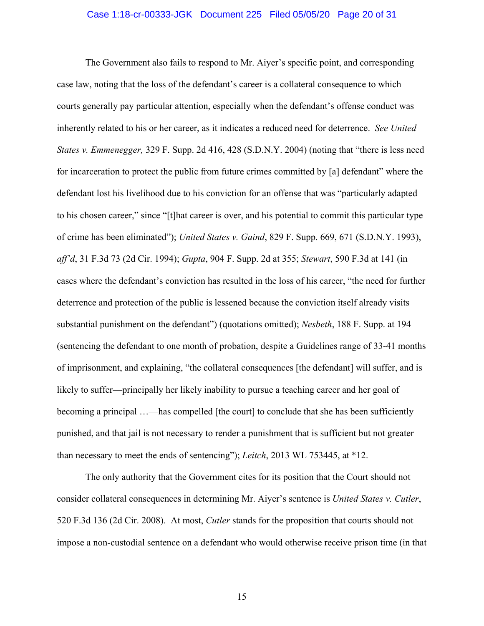### Case 1:18-cr-00333-JGK Document 225 Filed 05/05/20 Page 20 of 31

The Government also fails to respond to Mr. Aiyer's specific point, and corresponding case law, noting that the loss of the defendant's career is a collateral consequence to which courts generally pay particular attention, especially when the defendant's offense conduct was inherently related to his or her career, as it indicates a reduced need for deterrence. *See United States v. Emmenegger,* 329 F. Supp. 2d 416, 428 (S.D.N.Y. 2004) (noting that "there is less need for incarceration to protect the public from future crimes committed by [a] defendant" where the defendant lost his livelihood due to his conviction for an offense that was "particularly adapted to his chosen career," since "[t]hat career is over, and his potential to commit this particular type of crime has been eliminated"); *United States v. Gaind*, 829 F. Supp. 669, 671 (S.D.N.Y. 1993), *aff'd*, 31 F.3d 73 (2d Cir. 1994); *Gupta*, 904 F. Supp. 2d at 355; *Stewart*, 590 F.3d at 141 (in cases where the defendant's conviction has resulted in the loss of his career, "the need for further deterrence and protection of the public is lessened because the conviction itself already visits substantial punishment on the defendant") (quotations omitted); *Nesbeth*, 188 F. Supp. at 194 (sentencing the defendant to one month of probation, despite a Guidelines range of 33-41 months of imprisonment, and explaining, "the collateral consequences [the defendant] will suffer, and is likely to suffer—principally her likely inability to pursue a teaching career and her goal of becoming a principal …—has compelled [the court] to conclude that she has been sufficiently punished, and that jail is not necessary to render a punishment that is sufficient but not greater than necessary to meet the ends of sentencing"); *Leitch*, 2013 WL 753445, at \*12.

The only authority that the Government cites for its position that the Court should not consider collateral consequences in determining Mr. Aiyer's sentence is *United States v. Cutler*, 520 F.3d 136 (2d Cir. 2008). At most, *Cutler* stands for the proposition that courts should not impose a non-custodial sentence on a defendant who would otherwise receive prison time (in that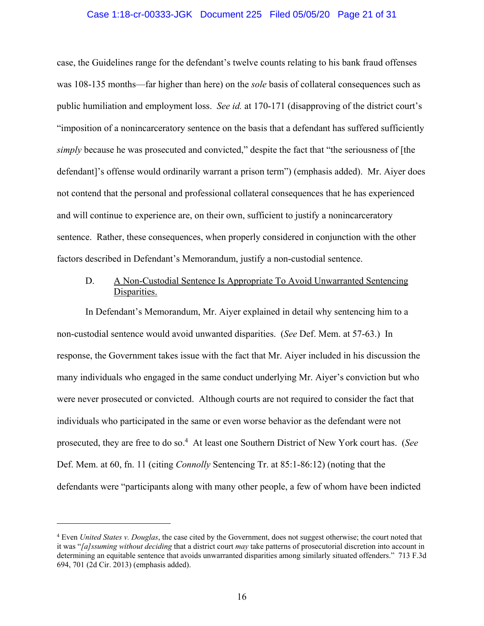### Case 1:18-cr-00333-JGK Document 225 Filed 05/05/20 Page 21 of 31

case, the Guidelines range for the defendant's twelve counts relating to his bank fraud offenses was 108-135 months—far higher than here) on the *sole* basis of collateral consequences such as public humiliation and employment loss. *See id.* at 170-171 (disapproving of the district court's "imposition of a nonincarceratory sentence on the basis that a defendant has suffered sufficiently *simply* because he was prosecuted and convicted," despite the fact that "the seriousness of [the defendant]'s offense would ordinarily warrant a prison term") (emphasis added). Mr. Aiyer does not contend that the personal and professional collateral consequences that he has experienced and will continue to experience are, on their own, sufficient to justify a nonincarceratory sentence. Rather, these consequences, when properly considered in conjunction with the other factors described in Defendant's Memorandum, justify a non-custodial sentence.

### D. A Non-Custodial Sentence Is Appropriate To Avoid Unwarranted Sentencing Disparities.

In Defendant's Memorandum, Mr. Aiyer explained in detail why sentencing him to a non-custodial sentence would avoid unwanted disparities. (*See* Def. Mem. at 57-63.) In response, the Government takes issue with the fact that Mr. Aiyer included in his discussion the many individuals who engaged in the same conduct underlying Mr. Aiyer's conviction but who were never prosecuted or convicted. Although courts are not required to consider the fact that individuals who participated in the same or even worse behavior as the defendant were not prosecuted, they are free to do so.4 At least one Southern District of New York court has. (*See*  Def. Mem. at 60, fn. 11 (citing *Connolly* Sentencing Tr. at 85:1-86:12) (noting that the defendants were "participants along with many other people, a few of whom have been indicted

 $\overline{a}$ 

<sup>4</sup> Even *United States v. Douglas*, the case cited by the Government, does not suggest otherwise; the court noted that it was "*[a]ssuming without deciding* that a district court *may* take patterns of prosecutorial discretion into account in determining an equitable sentence that avoids unwarranted disparities among similarly situated offenders." 713 F.3d 694, 701 (2d Cir. 2013) (emphasis added).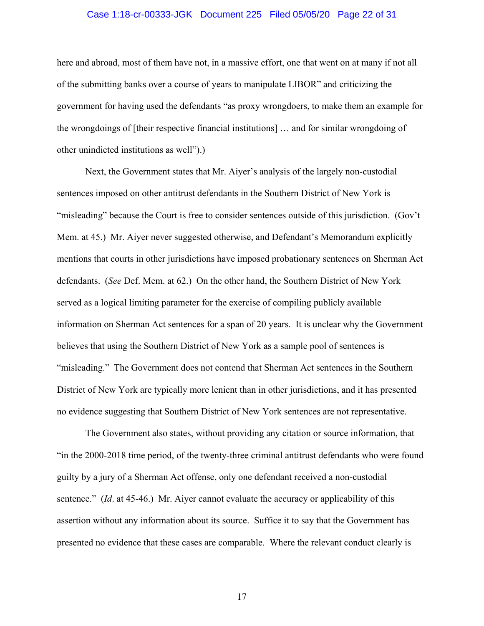### Case 1:18-cr-00333-JGK Document 225 Filed 05/05/20 Page 22 of 31

here and abroad, most of them have not, in a massive effort, one that went on at many if not all of the submitting banks over a course of years to manipulate LIBOR" and criticizing the government for having used the defendants "as proxy wrongdoers, to make them an example for the wrongdoings of [their respective financial institutions] … and for similar wrongdoing of other unindicted institutions as well").)

Next, the Government states that Mr. Aiyer's analysis of the largely non-custodial sentences imposed on other antitrust defendants in the Southern District of New York is "misleading" because the Court is free to consider sentences outside of this jurisdiction. (Gov't Mem. at 45.) Mr. Aiyer never suggested otherwise, and Defendant's Memorandum explicitly mentions that courts in other jurisdictions have imposed probationary sentences on Sherman Act defendants. (*See* Def. Mem. at 62.) On the other hand, the Southern District of New York served as a logical limiting parameter for the exercise of compiling publicly available information on Sherman Act sentences for a span of 20 years. It is unclear why the Government believes that using the Southern District of New York as a sample pool of sentences is "misleading." The Government does not contend that Sherman Act sentences in the Southern District of New York are typically more lenient than in other jurisdictions, and it has presented no evidence suggesting that Southern District of New York sentences are not representative.

The Government also states, without providing any citation or source information, that "in the 2000-2018 time period, of the twenty-three criminal antitrust defendants who were found guilty by a jury of a Sherman Act offense, only one defendant received a non-custodial sentence." (*Id*. at 45-46.) Mr. Aiyer cannot evaluate the accuracy or applicability of this assertion without any information about its source. Suffice it to say that the Government has presented no evidence that these cases are comparable. Where the relevant conduct clearly is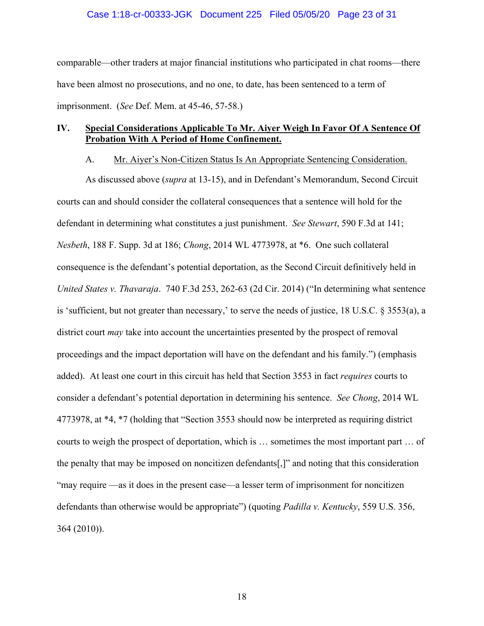### Case 1:18-cr-00333-JGK Document 225 Filed 05/05/20 Page 23 of 31

comparable—other traders at major financial institutions who participated in chat rooms—there have been almost no prosecutions, and no one, to date, has been sentenced to a term of imprisonment. (*See* Def. Mem. at 45-46, 57-58.)

### **IV. Special Considerations Applicable To Mr. Aiyer Weigh In Favor Of A Sentence Of Probation With A Period of Home Confinement.**

### A. Mr. Aiyer's Non-Citizen Status Is An Appropriate Sentencing Consideration.

As discussed above (*supra* at 13-15), and in Defendant's Memorandum, Second Circuit courts can and should consider the collateral consequences that a sentence will hold for the defendant in determining what constitutes a just punishment. *See Stewart*, 590 F.3d at 141; *Nesbeth*, 188 F. Supp. 3d at 186; *Chong*, 2014 WL 4773978, at \*6. One such collateral consequence is the defendant's potential deportation, as the Second Circuit definitively held in *United States v. Thavaraja*. 740 F.3d 253, 262-63 (2d Cir. 2014) ("In determining what sentence is 'sufficient, but not greater than necessary,' to serve the needs of justice, 18 U.S.C. § 3553(a), a district court *may* take into account the uncertainties presented by the prospect of removal proceedings and the impact deportation will have on the defendant and his family.") (emphasis added). At least one court in this circuit has held that Section 3553 in fact *requires* courts to consider a defendant's potential deportation in determining his sentence. *See Chong*, 2014 WL 4773978, at \*4, \*7 (holding that "Section 3553 should now be interpreted as requiring district courts to weigh the prospect of deportation, which is … sometimes the most important part … of the penalty that may be imposed on noncitizen defendants[,]" and noting that this consideration "may require —as it does in the present case—a lesser term of imprisonment for noncitizen defendants than otherwise would be appropriate") (quoting *Padilla v. Kentucky*, 559 U.S. 356, 364 (2010)).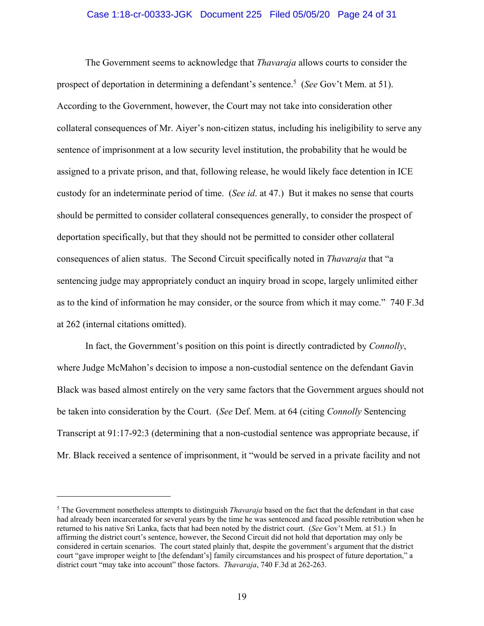### Case 1:18-cr-00333-JGK Document 225 Filed 05/05/20 Page 24 of 31

The Government seems to acknowledge that *Thavaraja* allows courts to consider the prospect of deportation in determining a defendant's sentence.<sup>5</sup> (*See* Gov't Mem. at 51). According to the Government, however, the Court may not take into consideration other collateral consequences of Mr. Aiyer's non-citizen status, including his ineligibility to serve any sentence of imprisonment at a low security level institution, the probability that he would be assigned to a private prison, and that, following release, he would likely face detention in ICE custody for an indeterminate period of time. (*See id*. at 47.) But it makes no sense that courts should be permitted to consider collateral consequences generally, to consider the prospect of deportation specifically, but that they should not be permitted to consider other collateral consequences of alien status. The Second Circuit specifically noted in *Thavaraja* that "a sentencing judge may appropriately conduct an inquiry broad in scope, largely unlimited either as to the kind of information he may consider, or the source from which it may come." 740 F.3d at 262 (internal citations omitted).

In fact, the Government's position on this point is directly contradicted by *Connolly*, where Judge McMahon's decision to impose a non-custodial sentence on the defendant Gavin Black was based almost entirely on the very same factors that the Government argues should not be taken into consideration by the Court. (*See* Def. Mem. at 64 (citing *Connolly* Sentencing Transcript at 91:17-92:3 (determining that a non-custodial sentence was appropriate because, if Mr. Black received a sentence of imprisonment, it "would be served in a private facility and not

 $\overline{a}$ 

<sup>5</sup> The Government nonetheless attempts to distinguish *Thavaraja* based on the fact that the defendant in that case had already been incarcerated for several years by the time he was sentenced and faced possible retribution when he returned to his native Sri Lanka, facts that had been noted by the district court. (*See* Gov't Mem. at 51.) In affirming the district court's sentence, however, the Second Circuit did not hold that deportation may only be considered in certain scenarios. The court stated plainly that, despite the government's argument that the district court "gave improper weight to [the defendant's] family circumstances and his prospect of future deportation," a district court "may take into account" those factors. *Thavaraja*, 740 F.3d at 262-263.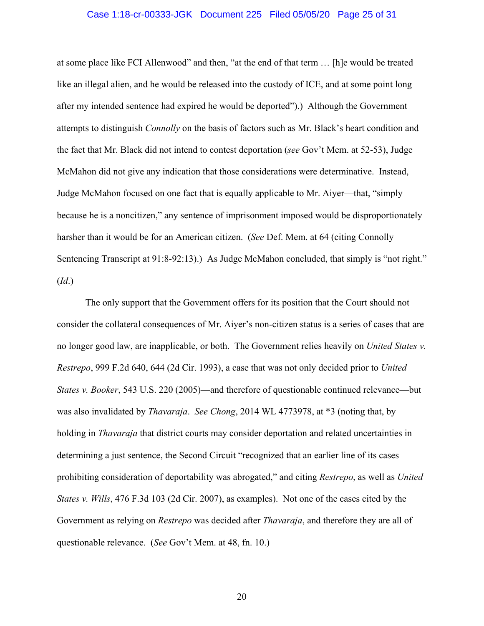### Case 1:18-cr-00333-JGK Document 225 Filed 05/05/20 Page 25 of 31

at some place like FCI Allenwood" and then, "at the end of that term … [h]e would be treated like an illegal alien, and he would be released into the custody of ICE, and at some point long after my intended sentence had expired he would be deported").) Although the Government attempts to distinguish *Connolly* on the basis of factors such as Mr. Black's heart condition and the fact that Mr. Black did not intend to contest deportation (*see* Gov't Mem. at 52-53), Judge McMahon did not give any indication that those considerations were determinative. Instead, Judge McMahon focused on one fact that is equally applicable to Mr. Aiyer—that, "simply because he is a noncitizen," any sentence of imprisonment imposed would be disproportionately harsher than it would be for an American citizen. (*See* Def. Mem. at 64 (citing Connolly Sentencing Transcript at 91:8-92:13).) As Judge McMahon concluded, that simply is "not right." (*Id*.)

The only support that the Government offers for its position that the Court should not consider the collateral consequences of Mr. Aiyer's non-citizen status is a series of cases that are no longer good law, are inapplicable, or both. The Government relies heavily on *United States v. Restrepo*, 999 F.2d 640, 644 (2d Cir. 1993), a case that was not only decided prior to *United States v. Booker*, 543 U.S. 220 (2005)—and therefore of questionable continued relevance—but was also invalidated by *Thavaraja*. *See Chong*, 2014 WL 4773978, at \*3 (noting that, by holding in *Thavaraja* that district courts may consider deportation and related uncertainties in determining a just sentence, the Second Circuit "recognized that an earlier line of its cases prohibiting consideration of deportability was abrogated," and citing *Restrepo*, as well as *United States v. Wills*, 476 F.3d 103 (2d Cir. 2007), as examples). Not one of the cases cited by the Government as relying on *Restrepo* was decided after *Thavaraja*, and therefore they are all of questionable relevance. (*See* Gov't Mem. at 48, fn. 10.)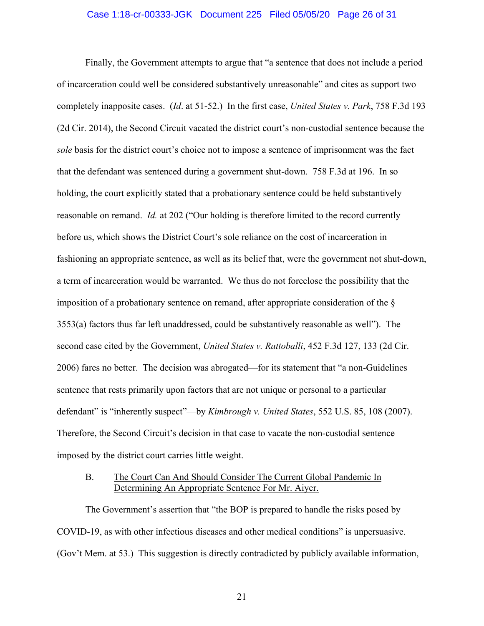### Case 1:18-cr-00333-JGK Document 225 Filed 05/05/20 Page 26 of 31

Finally, the Government attempts to argue that "a sentence that does not include a period of incarceration could well be considered substantively unreasonable" and cites as support two completely inapposite cases. (*Id*. at 51-52.) In the first case, *United States v. Park*, 758 F.3d 193 (2d Cir. 2014), the Second Circuit vacated the district court's non-custodial sentence because the *sole* basis for the district court's choice not to impose a sentence of imprisonment was the fact that the defendant was sentenced during a government shut-down. 758 F.3d at 196. In so holding, the court explicitly stated that a probationary sentence could be held substantively reasonable on remand. *Id.* at 202 ("Our holding is therefore limited to the record currently before us, which shows the District Court's sole reliance on the cost of incarceration in fashioning an appropriate sentence, as well as its belief that, were the government not shut-down, a term of incarceration would be warranted. We thus do not foreclose the possibility that the imposition of a probationary sentence on remand, after appropriate consideration of the § 3553(a) factors thus far left unaddressed, could be substantively reasonable as well"). The second case cited by the Government, *United States v. Rattoballi*, 452 F.3d 127, 133 (2d Cir. 2006) fares no better. The decision was abrogated—for its statement that "a non-Guidelines sentence that rests primarily upon factors that are not unique or personal to a particular defendant" is "inherently suspect"—by *Kimbrough v. United States*, 552 U.S. 85, 108 (2007). Therefore, the Second Circuit's decision in that case to vacate the non-custodial sentence imposed by the district court carries little weight.

### B. The Court Can And Should Consider The Current Global Pandemic In Determining An Appropriate Sentence For Mr. Aiyer.

The Government's assertion that "the BOP is prepared to handle the risks posed by COVID-19, as with other infectious diseases and other medical conditions" is unpersuasive. (Gov't Mem. at 53.) This suggestion is directly contradicted by publicly available information,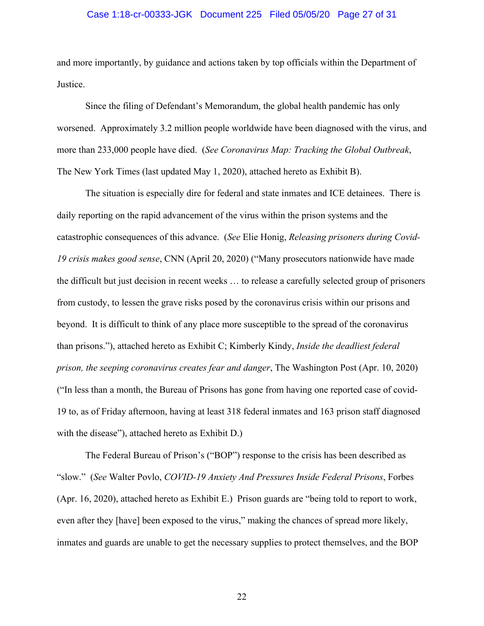### Case 1:18-cr-00333-JGK Document 225 Filed 05/05/20 Page 27 of 31

and more importantly, by guidance and actions taken by top officials within the Department of Justice.

Since the filing of Defendant's Memorandum, the global health pandemic has only worsened. Approximately 3.2 million people worldwide have been diagnosed with the virus, and more than 233,000 people have died. (*See Coronavirus Map: Tracking the Global Outbreak*, The New York Times (last updated May 1, 2020), attached hereto as Exhibit B).

The situation is especially dire for federal and state inmates and ICE detainees. There is daily reporting on the rapid advancement of the virus within the prison systems and the catastrophic consequences of this advance. (*See* Elie Honig, *Releasing prisoners during Covid-19 crisis makes good sense*, CNN (April 20, 2020) ("Many prosecutors nationwide have made the difficult but just decision in recent weeks … to release a carefully selected group of prisoners from custody, to lessen the grave risks posed by the coronavirus crisis within our prisons and beyond. It is difficult to think of any place more susceptible to the spread of the coronavirus than prisons."), attached hereto as Exhibit C; Kimberly Kindy, *Inside the deadliest federal prison, the seeping coronavirus creates fear and danger*, The Washington Post (Apr. 10, 2020) ("In less than a month, the Bureau of Prisons has gone from having one reported case of covid-19 to, as of Friday afternoon, having at least 318 federal inmates and 163 prison staff diagnosed with the disease"), attached hereto as Exhibit D.)

The Federal Bureau of Prison's ("BOP") response to the crisis has been described as "slow." (*See* Walter Povlo, *COVID-19 Anxiety And Pressures Inside Federal Prisons*, Forbes (Apr. 16, 2020), attached hereto as Exhibit E.) Prison guards are "being told to report to work, even after they [have] been exposed to the virus," making the chances of spread more likely, inmates and guards are unable to get the necessary supplies to protect themselves, and the BOP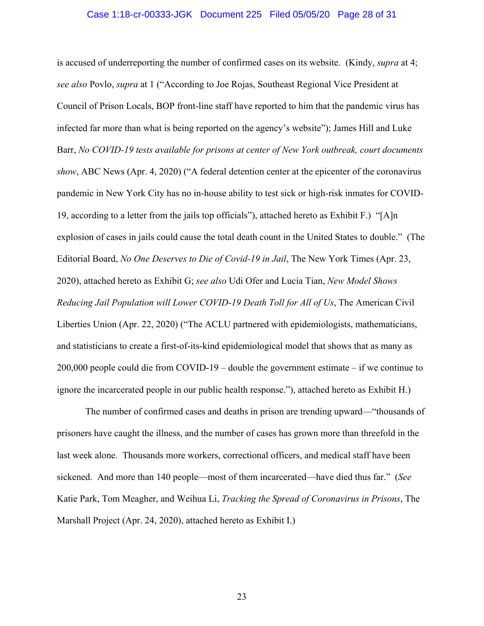#### Case 1:18-cr-00333-JGK Document 225 Filed 05/05/20 Page 28 of 31

is accused of underreporting the number of confirmed cases on its website. (Kindy, *supra* at 4; *see also* Povlo, *supra* at 1 ("According to Joe Rojas, Southeast Regional Vice President at Council of Prison Locals, BOP front-line staff have reported to him that the pandemic virus has infected far more than what is being reported on the agency's website"); James Hill and Luke Barr, *No COVID-19 tests available for prisons at center of New York outbreak, court documents show*, ABC News (Apr. 4, 2020) ("A federal detention center at the epicenter of the coronavirus pandemic in New York City has no in-house ability to test sick or high-risk inmates for COVID-19, according to a letter from the jails top officials"), attached hereto as Exhibit F.) "[A]n explosion of cases in jails could cause the total death count in the United States to double." (The Editorial Board, *No One Deserves to Die of Covid-19 in Jail*, The New York Times (Apr. 23, 2020), attached hereto as Exhibit G; *see also* Udi Ofer and Lucia Tian, *New Model Shows Reducing Jail Population will Lower COVID-19 Death Toll for All of Us*, The American Civil Liberties Union (Apr. 22, 2020) ("The ACLU partnered with epidemiologists, mathematicians, and statisticians to create a first-of-its-kind epidemiological model that shows that as many as 200,000 people could die from COVID-19 – double the government estimate – if we continue to ignore the incarcerated people in our public health response."), attached hereto as Exhibit H.)

The number of confirmed cases and deaths in prison are trending upward—"thousands of prisoners have caught the illness, and the number of cases has grown more than threefold in the last week alone. Thousands more workers, correctional officers, and medical staff have been sickened. And more than 140 people—most of them incarcerated—have died thus far." (*See*  Katie Park, Tom Meagher, and Weihua Li, *Tracking the Spread of Coronavirus in Prisons*, The Marshall Project (Apr. 24, 2020), attached hereto as Exhibit I.)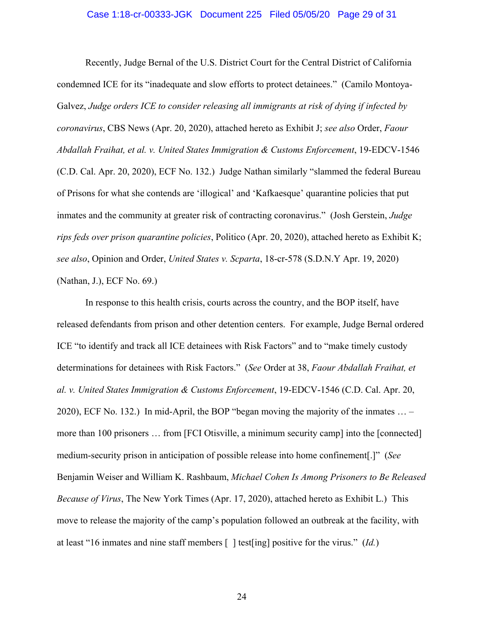### Case 1:18-cr-00333-JGK Document 225 Filed 05/05/20 Page 29 of 31

Recently, Judge Bernal of the U.S. District Court for the Central District of California condemned ICE for its "inadequate and slow efforts to protect detainees." (Camilo Montoya-Galvez, *Judge orders ICE to consider releasing all immigrants at risk of dying if infected by coronavirus*, CBS News (Apr. 20, 2020), attached hereto as Exhibit J; *see also* Order, *Faour Abdallah Fraihat, et al. v. United States Immigration & Customs Enforcement*, 19-EDCV-1546 (C.D. Cal. Apr. 20, 2020), ECF No. 132.) Judge Nathan similarly "slammed the federal Bureau of Prisons for what she contends are 'illogical' and 'Kafkaesque' quarantine policies that put inmates and the community at greater risk of contracting coronavirus." (Josh Gerstein, *Judge rips feds over prison quarantine policies*, Politico (Apr. 20, 2020), attached hereto as Exhibit K; *see also*, Opinion and Order, *United States v. Scparta*, 18-cr-578 (S.D.N.Y Apr. 19, 2020) (Nathan, J.), ECF No. 69.)

In response to this health crisis, courts across the country, and the BOP itself, have released defendants from prison and other detention centers. For example, Judge Bernal ordered ICE "to identify and track all ICE detainees with Risk Factors" and to "make timely custody determinations for detainees with Risk Factors." (*See* Order at 38, *Faour Abdallah Fraihat, et al. v. United States Immigration & Customs Enforcement*, 19-EDCV-1546 (C.D. Cal. Apr. 20, 2020), ECF No. 132.) In mid-April, the BOP "began moving the majority of the inmates … – more than 100 prisoners … from [FCI Otisville, a minimum security camp] into the [connected] medium-security prison in anticipation of possible release into home confinement[.]" (*See*  Benjamin Weiser and William K. Rashbaum, *Michael Cohen Is Among Prisoners to Be Released Because of Virus*, The New York Times (Apr. 17, 2020), attached hereto as Exhibit L.) This move to release the majority of the camp's population followed an outbreak at the facility, with at least "16 inmates and nine staff members [ ] test[ing] positive for the virus." (*Id.*)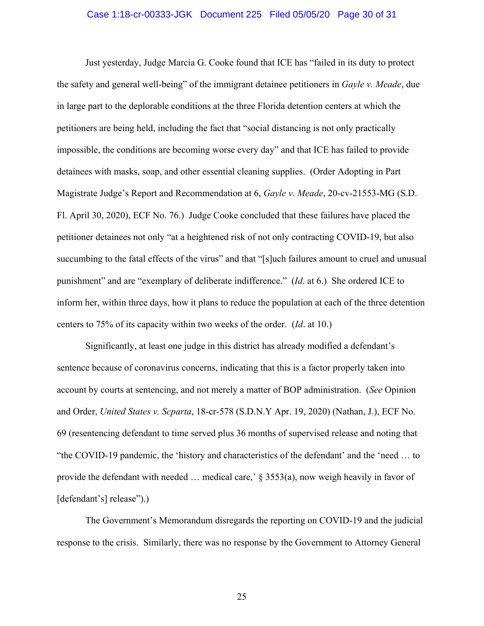### Case 1:18-cr-00333-JGK Document 225 Filed 05/05/20 Page 30 of 31

Just yesterday, Judge Marcia G. Cooke found that ICE has "failed in its duty to protect the safety and general well-being" of the immigrant detainee petitioners in *Gayle v. Meade*, due in large part to the deplorable conditions at the three Florida detention centers at which the petitioners are being held, including the fact that "social distancing is not only practically impossible, the conditions are becoming worse every day" and that ICE has failed to provide detainees with masks, soap, and other essential cleaning supplies. (Order Adopting in Part Magistrate Judge's Report and Recommendation at 6, *Gayle v. Meade*, 20-cv-21553-MG (S.D. Fl. April 30, 2020), ECF No. 76.) Judge Cooke concluded that these failures have placed the petitioner detainees not only "at a heightened risk of not only contracting COVID-19, but also succumbing to the fatal effects of the virus" and that "[s]uch failures amount to cruel and unusual punishment" and are "exemplary of deliberate indifference." (*Id*. at 6.) She ordered ICE to inform her, within three days, how it plans to reduce the population at each of the three detention centers to 75% of its capacity within two weeks of the order. (*Id*. at 10.)

Significantly, at least one judge in this district has already modified a defendant's sentence because of coronavirus concerns, indicating that this is a factor properly taken into account by courts at sentencing, and not merely a matter of BOP administration. (*See* Opinion and Order, *United States v. Scparta*, 18-cr-578 (S.D.N.Y Apr. 19, 2020) (Nathan, J.), ECF No. 69 (resentencing defendant to time served plus 36 months of supervised release and noting that "the COVID-19 pandemic, the 'history and characteristics of the defendant' and the 'need … to provide the defendant with needed  $\ldots$  medical care,  $\frac{1}{2}$  \$ 3553(a), now weigh heavily in favor of [defendant's] release").)

The Government's Memorandum disregards the reporting on COVID-19 and the judicial response to the crisis. Similarly, there was no response by the Government to Attorney General